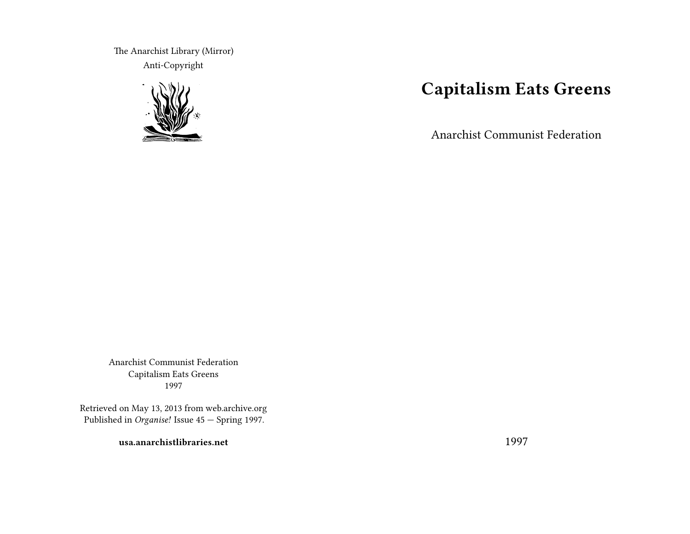The Anarchist Library (Mirror) Anti-Copyright



# **Capitalism Eats Greens**

Anarchist Communist Federation

Anarchist Communist Federation Capitalism Eats Greens 1997

Retrieved on May 13, 2013 from web.archive.org Published in *Organise!* Issue 45 — Spring 1997.

**usa.anarchistlibraries.net**

1997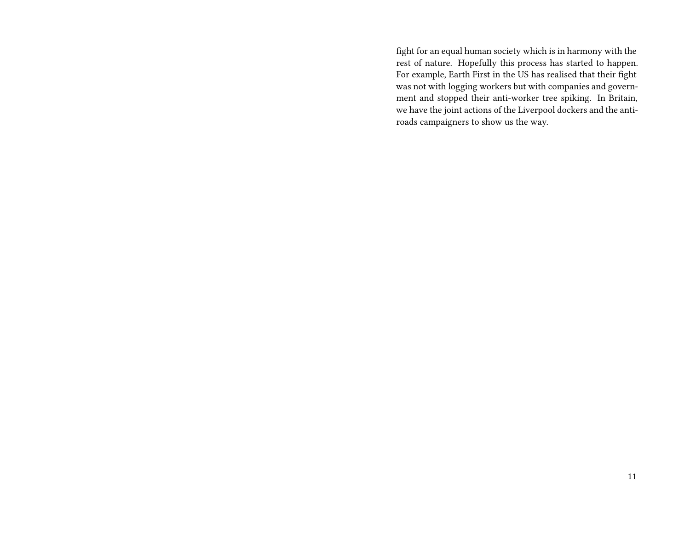fight for an equal human society which is in harmony with the rest of nature. Hopefully this process has started to happen. For example, Earth First in the US has realised that their fight was not with logging workers but with companies and government and stopped their anti-worker tree spiking. In Britain, we have the joint actions of the Liverpool dockers and the antiroads campaigners to show us the way.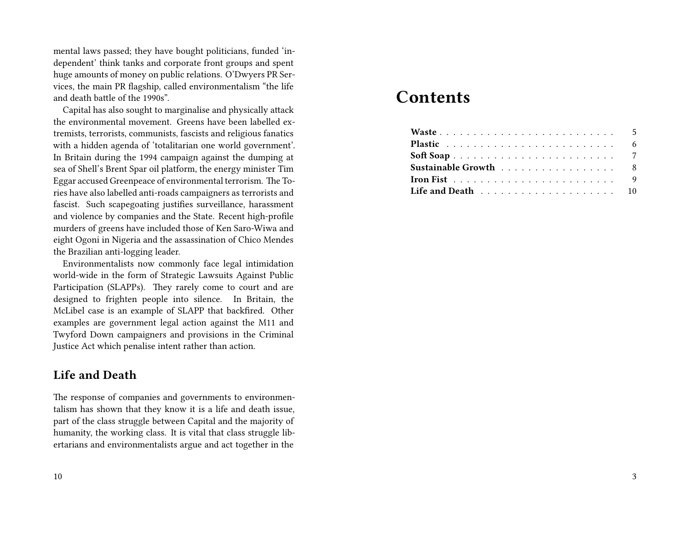mental laws passed; they have bought politicians, funded 'independent' think tanks and corporate front groups and spent huge amounts of money on public relations. O'Dwyers PR Services, the main PR flagship, called environmentalism "the life and death battle of the 1990s".

Capital has also sought to marginalise and physically attack the environmental movement. Greens have been labelled extremists, terrorists, communists, fascists and religious fanatics with a hidden agenda of 'totalitarian one world government'. In Britain during the 1994 campaign against the dumping at sea of Shell's Brent Spar oil platform, the energy minister Tim Eggar accused Greenpeace of environmental terrorism. The Tories have also labelled anti-roads campaigners as terrorists and fascist. Such scapegoating justifies surveillance, harassment and violence by companies and the State. Recent high-profile murders of greens have included those of Ken Saro-Wiwa and eight Ogoni in Nigeria and the assassination of Chico Mendes the Brazilian anti-logging leader.

Environmentalists now commonly face legal intimidation world-wide in the form of Strategic Lawsuits Against Public Participation (SLAPPs). They rarely come to court and are designed to frighten people into silence. In Britain, the McLibel case is an example of SLAPP that backfired. Other examples are government legal action against the M11 and Twyford Down campaigners and provisions in the Criminal Justice Act which penalise intent rather than action.

#### **Life and Death**

The response of companies and governments to environmentalism has shown that they know it is a life and death issue, part of the class struggle between Capital and the majority of humanity, the working class. It is vital that class struggle libertarians and environmentalists argue and act together in the

#### 10

## **Contents**

| Sustainable Growth 8                                                       |  |  |  |
|----------------------------------------------------------------------------|--|--|--|
| <b>Iron Fist</b> $\ldots \ldots \ldots \ldots \ldots \ldots \ldots \ldots$ |  |  |  |
|                                                                            |  |  |  |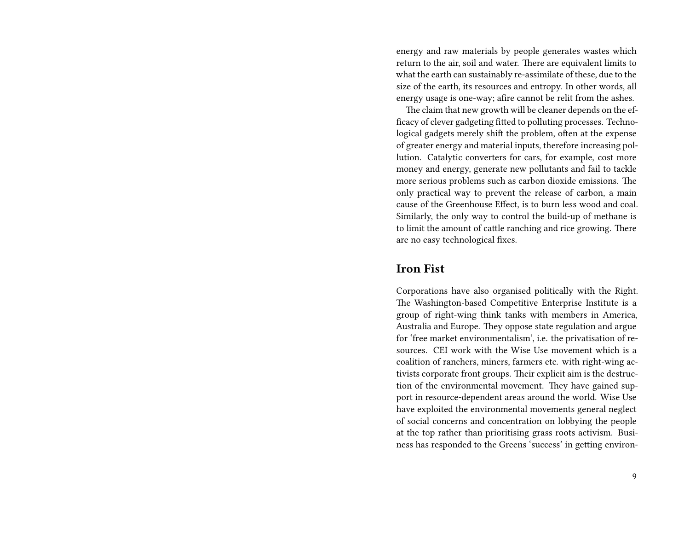energy and raw materials by people generates wastes which return to the air, soil and water. There are equivalent limits to what the earth can sustainably re-assimilate of these, due to the size of the earth, its resources and entropy. In other words, all energy usage is one-way; afire cannot be relit from the ashes.

The claim that new growth will be cleaner depends on the efficacy of clever gadgeting fitted to polluting processes. Technological gadgets merely shift the problem, often at the expense of greater energy and material inputs, therefore increasing pollution. Catalytic converters for cars, for example, cost more money and energy, generate new pollutants and fail to tackle more serious problems such as carbon dioxide emissions. The only practical way to prevent the release of carbon, a main cause of the Greenhouse Effect, is to burn less wood and coal. Similarly, the only way to control the build-up of methane is to limit the amount of cattle ranching and rice growing. There are no easy technological fixes.

#### **Iron Fist**

Corporations have also organised politically with the Right. The Washington-based Competitive Enterprise Institute is a group of right-wing think tanks with members in America, Australia and Europe. They oppose state regulation and argue for 'free market environmentalism', i.e. the privatisation of resources. CEI work with the Wise Use movement which is a coalition of ranchers, miners, farmers etc. with right-wing activists corporate front groups. Their explicit aim is the destruction of the environmental movement. They have gained support in resource-dependent areas around the world. Wise Use have exploited the environmental movements general neglect of social concerns and concentration on lobbying the people at the top rather than prioritising grass roots activism. Business has responded to the Greens 'success' in getting environ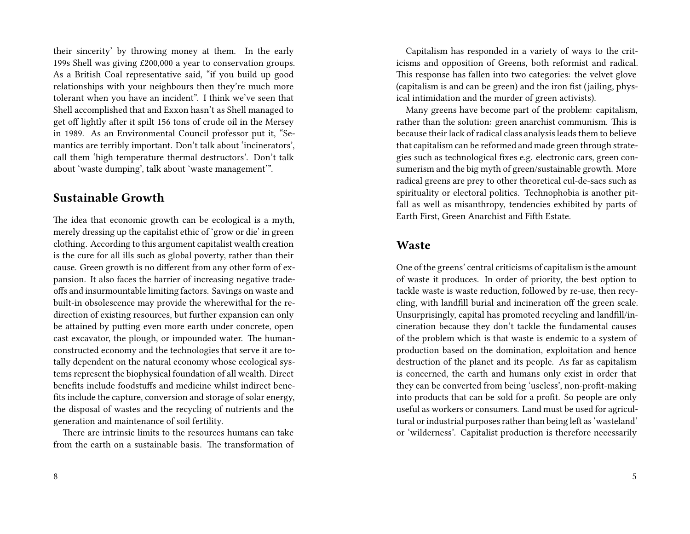their sincerity' by throwing money at them. In the early 199s Shell was giving £200,000 a year to conservation groups. As a British Coal representative said, "if you build up good relationships with your neighbours then they're much more tolerant when you have an incident". I think we've seen that Shell accomplished that and Exxon hasn't as Shell managed to get off lightly after it spilt 156 tons of crude oil in the Mersey in 1989. As an Environmental Council professor put it, "Semantics are terribly important. Don't talk about 'incinerators', call them 'high temperature thermal destructors'. Don't talk about 'waste dumping', talk about 'waste management'".

#### **Sustainable Growth**

The idea that economic growth can be ecological is a myth, merely dressing up the capitalist ethic of 'grow or die' in green clothing. According to this argument capitalist wealth creation is the cure for all ills such as global poverty, rather than their cause. Green growth is no different from any other form of expansion. It also faces the barrier of increasing negative tradeoffs and insurmountable limiting factors. Savings on waste and built-in obsolescence may provide the wherewithal for the redirection of existing resources, but further expansion can only be attained by putting even more earth under concrete, open cast excavator, the plough, or impounded water. The humanconstructed economy and the technologies that serve it are totally dependent on the natural economy whose ecological systems represent the biophysical foundation of all wealth. Direct benefits include foodstuffs and medicine whilst indirect benefits include the capture, conversion and storage of solar energy, the disposal of wastes and the recycling of nutrients and the generation and maintenance of soil fertility.

There are intrinsic limits to the resources humans can take from the earth on a sustainable basis. The transformation of

Capitalism has responded in a variety of ways to the criticisms and opposition of Greens, both reformist and radical. This response has fallen into two categories: the velvet glove (capitalism is and can be green) and the iron fist (jailing, physical intimidation and the murder of green activists).

Many greens have become part of the problem: capitalism, rather than the solution: green anarchist communism. This is because their lack of radical class analysis leads them to believe that capitalism can be reformed and made green through strategies such as technological fixes e.g. electronic cars, green consumerism and the big myth of green/sustainable growth. More radical greens are prey to other theoretical cul-de-sacs such as spirituality or electoral politics. Technophobia is another pitfall as well as misanthropy, tendencies exhibited by parts of Earth First, Green Anarchist and Fifth Estate.

#### **Waste**

One of the greens' central criticisms of capitalism is the amount of waste it produces. In order of priority, the best option to tackle waste is waste reduction, followed by re-use, then recycling, with landfill burial and incineration off the green scale. Unsurprisingly, capital has promoted recycling and landfill/incineration because they don't tackle the fundamental causes of the problem which is that waste is endemic to a system of production based on the domination, exploitation and hence destruction of the planet and its people. As far as capitalism is concerned, the earth and humans only exist in order that they can be converted from being 'useless', non-profit-making into products that can be sold for a profit. So people are only useful as workers or consumers. Land must be used for agricultural or industrial purposes rather than being left as 'wasteland' or 'wilderness'. Capitalist production is therefore necessarily